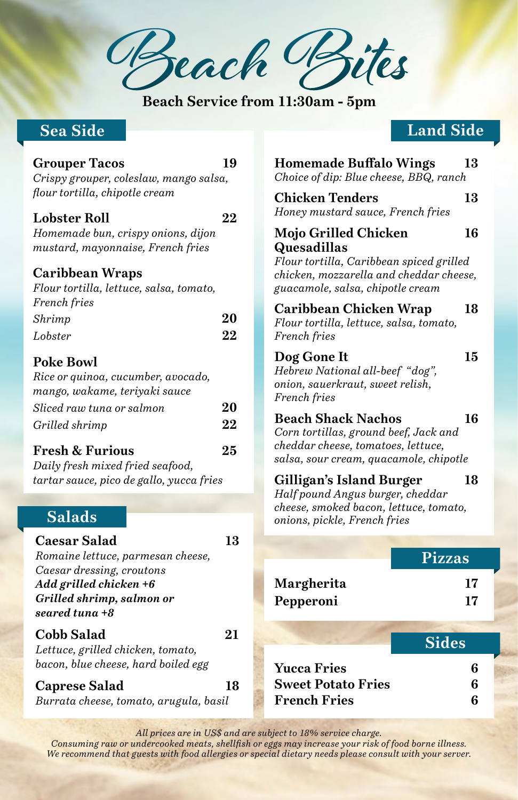**Beach Bites**

**Beach Service from 11:30am - 5pm**

## **Sea Side**

#### **Grouper Tacos 19**

*Crispy grouper, coleslaw, mango salsa, flour tortilla, chipotle cream*

#### **Lobster Roll 22**

*Homemade bun, crispy onions, dijon mustard, mayonnaise, French fries*

#### **Caribbean Wraps**

*Flour tortilla, lettuce, salsa, tomato, French fries*

| Shrimp  | 20 |
|---------|----|
| Lobster | 22 |

### **Poke Bowl**

| Rice or quinoa, cucumber, avocado, |    |
|------------------------------------|----|
| mango, wakame, teriyaki sauce      |    |
| Sliced raw tuna or salmon          | 20 |
| Grilled shrimp                     | 22 |
|                                    |    |

#### **Fresh & Furious 25**

*Daily fresh mixed fried seafood, tartar sauce, pico de gallo, yucca fries*

## **Salads**

## **Caesar Salad 13**

*Romaine lettuce, parmesan cheese, Caesar dressing, croutons Add grilled chicken +6 Grilled shrimp, salmon or seared tuna +8*

#### **Cobb Salad 21**

*Lettuce, grilled chicken, tomato, bacon, blue cheese, hard boiled egg*

#### **Caprese Salad 18**

*Burrata cheese, tomato, arugula, basil*

## **Land Side**

| <b>Homemade Buffalo Wings</b><br>Choice of dip: Blue cheese, BBQ, ranch                                                                                        | 13       |
|----------------------------------------------------------------------------------------------------------------------------------------------------------------|----------|
| <b>Chicken Tenders</b><br>Honey mustard sauce, French fries                                                                                                    | 13       |
| Mojo Grilled Chicken<br>Quesadillas<br>Flour tortilla, Caribbean spiced grilled<br>chicken, mozzarella and cheddar cheese,<br>guacamole, salsa, chipotle cream | 16       |
| Caribbean Chicken Wrap<br>Flour tortilla, lettuce, salsa, tomato,<br>French fries                                                                              | 18       |
| Dog Gone It<br>Hebrew National all-beef "dog",<br>onion, sauerkraut, sweet relish,<br>French fries                                                             | 15       |
| <b>Beach Shack Nachos</b><br>Corn tortillas, ground beef, Jack and<br>cheddar cheese, tomatoes, lettuce,<br>salsa, sour cream, quacamole, chipotle             | 16       |
| Gilligan's Island Burger<br>Half pound Angus burger, cheddar<br>cheese, smoked bacon, lettuce, tomato,<br>onions, pickle, French fries                         | 18       |
| <b>Pizzas</b>                                                                                                                                                  |          |
| Margherita<br>Pepperoni                                                                                                                                        | 17<br>17 |
|                                                                                                                                                                |          |
| <b>Sides</b>                                                                                                                                                   |          |
| <b>Yucca Fries</b><br><b>Sweet Potato Fries</b>                                                                                                                | 6<br>6   |

**French Fries 6**

*All prices are in US\$ and are subject to 18% service charge.*

*Consuming raw or undercooked meats, shellfish or eggs may increase your risk of food borne illness. We recommend that guests with food allergies or special dietary needs please consult with your server.*